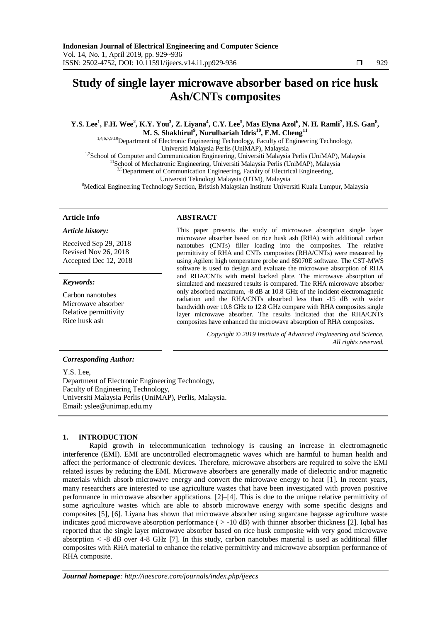# **Study of single layer microwave absorber based on rice husk Ash/CNTs composites**

# Y.S. Lee<sup>1</sup>, F.H. Wee<sup>2</sup>, K.Y. You<sup>3</sup>, Z. Liyana<sup>4</sup>, C.Y. Lee<sup>5</sup>, Mas Elyna Azol<sup>6</sup>, N. H. Ramli<sup>7</sup>, H.S. Gan<sup>8</sup>, **M. S. Shakhirul<sup>9</sup> , Nurulbariah Idris<sup>10</sup> , E.M. Cheng<sup>11</sup>**

<sup>1,4,6,7,9.10</sup>Department of Electronic Engineering Technology, Faculty of Engineering Technology,

Universiti Malaysia Perlis (UniMAP), Malaysia

<sup>1,2</sup>School of Computer and Communication Engineering, Universiti Malaysia Perlis (UniMAP), Malaysia

<sup>1</sup>School of Mechatronic Engineering, Universiti Malaysia Perlis (UniMAP), Malaysia

<sup>3,5</sup>Department of Communication Engineering, Faculty of Electrical Engineering,

Universiti Teknologi Malaysia (UTM), Malaysia

<sup>8</sup>Medical Engineering Technology Section, Bristish Malaysian Institute Universiti Kuala Lumpur, Malaysia

#### *Article history:*

Received Sep 29, 2018 Revised Nov 26, 2018 Accepted Dec 12, 2018

### *Keywords:*

Carbon nanotubes Microwave absorber Relative permittivity Rice husk ash

### **Article Info ABSTRACT**

This paper presents the study of microwave absorption single layer microwave absorber based on rice husk ash (RHA) with additional carbon nanotubes (CNTs) filler loading into the composites. The relative permittivity of RHA and CNTs composites (RHA/CNTs) were measured by using Agilent high temperature probe and 85070E software. The CST-MWS software is used to design and evaluate the microwave absorption of RHA and RHA/CNTs with metal backed plate. The microwave absorption of simulated and measured results is compared. The RHA microwave absorber only absorbed maximum, -8 dB at 10.8 GHz of the incident electromagnetic radiation and the RHA/CNTs absorbed less than -15 dB with wider bandwidth over 10.8 GHz to 12.8 GHz compare with RHA composites single layer microwave absorber. The results indicated that the RHA/CNTs composites have enhanced the microwave absorption of RHA composites.

> *Copyright © 2019 Institute of Advanced Engineering and Science. All rights reserved.*

#### *Corresponding Author:*

Y.S. Lee, Department of Electronic Engineering Technology, Faculty of Engineering Technology, Universiti Malaysia Perlis (UniMAP), Perlis, Malaysia. Email: yslee@unimap.edu.my

### **1. INTRODUCTION**

Rapid growth in telecommunication technology is causing an increase in electromagnetic interference (EMI). EMI are uncontrolled electromagnetic waves which are harmful to human health and affect the performance of electronic devices. Therefore, microwave absorbers are required to solve the EMI related issues by reducing the EMI. Microwave absorbers are generally made of dielectric and/or magnetic materials which absorb microwave energy and convert the microwave energy to heat [1]. In recent years, many researchers are interested to use agriculture wastes that have been investigated with proven positive performance in microwave absorber applications. [2]–[4]. This is due to the unique relative permittivity of some agriculture wastes which are able to absorb microwave energy with some specific designs and composites [5], [6]. Liyana has shown that microwave absorber using sugarcane bagasse agriculture waste indicates good microwave absorption performance ( $>$ -10 dB) with thinner absorber thickness [2]. Iqbal has reported that the single layer microwave absorber based on rice husk composite with very good microwave absorption  $\lt$  -8 dB over 4-8 GHz [7]. In this study, carbon nanotubes material is used as additional filler composites with RHA material to enhance the relative permittivity and microwave absorption performance of RHA composite.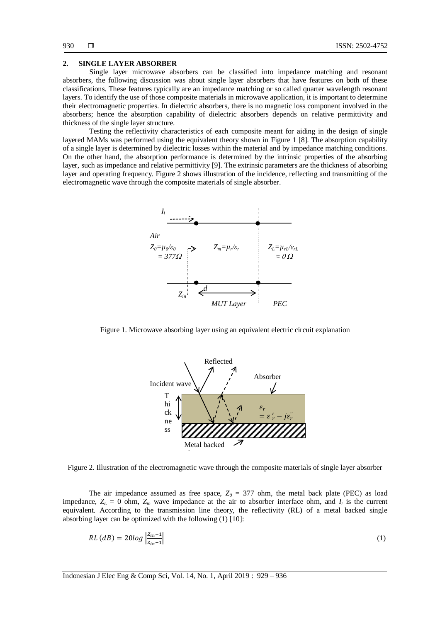#### **2. SINGLE LAYER ABSORBER**

Single layer microwave absorbers can be classified into impedance matching and resonant absorbers, the following discussion was about single layer absorbers that have features on both of these classifications. These features typically are an impedance matching or so called quarter wavelength resonant layers. To identify the use of those composite materials in microwave application, it is important to determine their electromagnetic properties. In dielectric absorbers, there is no magnetic loss component involved in the absorbers; hence the absorption capability of dielectric absorbers depends on relative permittivity and thickness of the single layer structure.

Testing the reflectivity characteristics of each composite meant for aiding in the design of single layered MAMs was performed using the equivalent theory shown in Figure 1 [8]. The absorption capability of a single layer is determined by dielectric losses within the material and by impedance matching conditions. On the other hand, the absorption performance is determined by the intrinsic properties of the absorbing layer, such as impedance and relative permittivity [9]. The extrinsic parameters are the thickness of absorbing layer and operating frequency. Figure 2 shows illustration of the incidence, reflecting and transmitting of the electromagnetic wave through the composite materials of single absorber.



Figure 1. Microwave absorbing layer using an equivalent electric circuit explanation





The air impedance assumed as free space,  $Z_0 = 377$  ohm, the metal back plate (PEC) as load impedance,  $Z_L = 0$  ohm,  $Z_{in}$  wave impedance at the air to absorber interface ohm, and  $I_i$  is the current equivalent. According to the transmission line theory, the reflectivity (RL) of a metal backed single absorbing layer can be optimized with the following (1) [10]:

$$
RL(dB) = 20log \left| \frac{z_{in-1}}{z_{in+1}} \right| \tag{1}
$$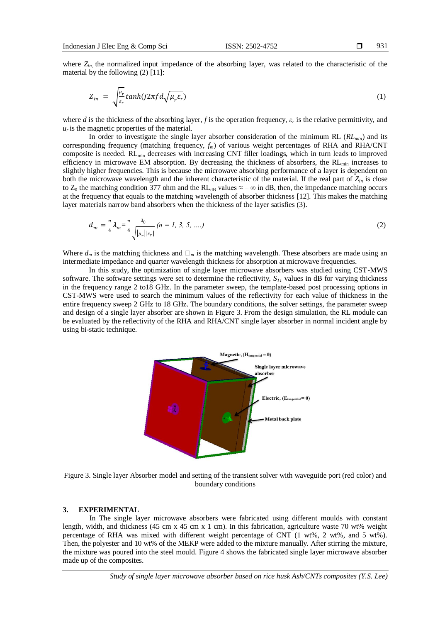<span id="page-2-0"></span>931

where  $Z_{in}$ , the normalized input impedance of the absorbing layer, was related to the characteristic of the material by the following (2) [11]:

$$
Z_{in} = \sqrt{\frac{\mu_r}{\varepsilon_r}} \tanh(j2\pi f d\sqrt{\mu_r \varepsilon_r})
$$
\n(1)

where  $d$  is the thickness of the absorbing layer,  $f$  is the operation frequency,  $\varepsilon_r$  is the relative permittivity, and  $u_r$  is the magnetic properties of the material.

In order to investigate the single layer absorber consideration of the minimum RL (*RLmin*) and its corresponding frequency (matching frequency, *fm*) of various weight percentages of RHA and RHA/CNT composite is needed. RL<sub>min</sub> decreases with increasing CNT filler loadings, which in turn leads to improved efficiency in microwave EM absorption. By decreasing the thickness of absorbers, the RL<sub>min</sub> increases to slightly higher frequencies. This is because the microwave absorbing performance of a layer is dependent on both the microwave wavelength and the inherent characteristic of the material. If the real part of  $Z_{in}$  is close to Z<sub>0</sub> the matching condition 377 ohm and the RL<sub>dB</sub> values  $\approx -\infty$  in dB, then, the impedance matching occurs at the frequency that equals to the matching wavelength of absorber thickness [12]. This makes the matching layer materials narrow band absorbers when the thickness of the layer satisfies ([3\).](#page-2-0) 

$$
d_m = \frac{n}{4} \lambda_m = \frac{n}{4} \frac{\lambda_0}{\sqrt{|\mu_r||\varepsilon_r|}} (n = 1, 3, 5, ....)
$$
 (2)

Where  $d_m$  is the matching thickness and  $\Box_m$  is the matching wavelength. These absorbers are made using an intermediate impedance and quarter wavelength thickness for absorption at microwave frequencies.

In this study, the optimization of single layer microwave absorbers was studied using CST-MWS software. The software settings were set to determine the reflectivity,  $S_{II}$  values in dB for varying thickness in the frequency range 2 to18 GHz. In the parameter sweep, the template-based post processing options in CST-MWS were used to search the minimum values of the reflectivity for each value of thickness in the entire frequency sweep 2 GHz to 18 GHz. The boundary conditions, the solver settings, the parameter sweep and design of a single layer absorber are shown in Figure 3. From the design simulation, the RL module can be evaluated by the reflectivity of the RHA and RHA/CNT single layer absorber in normal incident angle by using bi-static technique.



Figure 3. Single layer Absorber model and setting of the transient solver with waveguide port (red color) and boundary conditions

#### **3. EXPERIMENTAL**

In The single layer microwave absorbers were fabricated using different moulds with constant length, width, and thickness (45 cm x 45 cm x 1 cm). In this fabrication, agriculture waste 70 wt% weight percentage of RHA was mixed with different weight percentage of CNT (1 wt%, 2 wt%, and 5 wt%). Then, the polyester and 10 wt% of the MEKP were added to the mixture manually. After stirring the mixture, the mixture was poured into the steel mould. Figure 4 shows the fabricated single layer microwave absorber made up of the composites.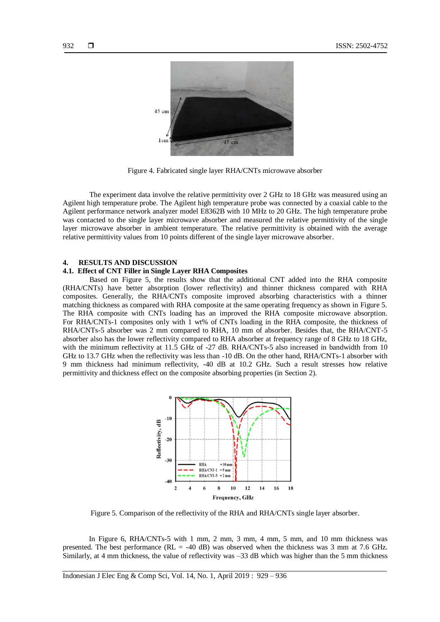

Figure 4. Fabricated single layer RHA/CNTs microwave absorber

The experiment data involve the relative permittivity over 2 GHz to 18 GHz was measured using an Agilent high temperature probe. The Agilent high temperature probe was connected by a coaxial cable to the Agilent performance network analyzer model E8362B with 10 MHz to 20 GHz. The high temperature probe was contacted to the single layer microwave absorber and measured the relative permittivity of the single layer microwave absorber in ambient temperature. The relative permittivity is obtained with the average relative permittivity values from 10 points different of the single layer microwave absorber.

# **4. RESULTS AND DISCUSSION**

# **4.1. Effect of CNT Filler in Single Layer RHA Composites**

Based on Figure 5, the results show that the additional CNT added into the RHA composite (RHA/CNTs) have better absorption (lower reflectivity) and thinner thickness compared with RHA composites. Generally, the RHA/CNTs composite improved absorbing characteristics with a thinner matching thickness as compared with RHA composite at the same operating frequency as shown in Figure 5. The RHA composite with CNTs loading has an improved the RHA composite microwave absorption. For RHA/CNTs-1 composites only with 1 wt% of CNTs loading in the RHA composite, the thickness of RHA/CNTs-5 absorber was 2 mm compared to RHA, 10 mm of absorber. Besides that, the RHA/CNT-5 absorber also has the lower reflectivity compared to RHA absorber at frequency range of 8 GHz to 18 GHz, with the minimum reflectivity at 11.5 GHz of -27 dB. RHA/CNTs-5 also increased in bandwidth from 10 GHz to 13.7 GHz when the reflectivity was less than -10 dB. On the other hand, RHA/CNTs-1 absorber with 9 mm thickness had minimum reflectivity, -40 dB at 10.2 GHz. Such a result stresses how relative permittivity and thickness effect on the composite absorbing properties (in Section 2).



Figure 5. Comparison of the reflectivity of the RHA and RHA/CNTs single layer absorber.

In Figure 6, RHA/CNTs-5 with 1 mm, 2 mm, 3 mm, 4 mm, 5 mm, and 10 mm thickness was presented. The best performance  $(RL = -40$  dB) was observed when the thickness was 3 mm at 7.6 GHz. Similarly, at 4 mm thickness, the value of reflectivity was –33 dB which was higher than the 5 mm thickness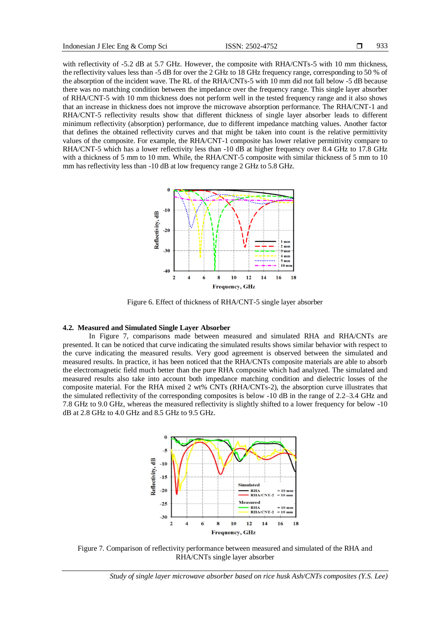with reflectivity of -5.2 dB at 5.7 GHz. However, the composite with RHA/CNTs-5 with 10 mm thickness, the reflectivity values less than -5 dB for over the 2 GHz to 18 GHz frequency range, corresponding to 50 % of the absorption of the incident wave. The RL of the RHA/CNTs-5 with 10 mm did not fall below -5 dB because there was no matching condition between the impedance over the frequency range. This single layer absorber of RHA/CNT-5 with 10 mm thickness does not perform well in the tested frequency range and it also shows that an increase in thickness does not improve the microwave absorption performance. The RHA/CNT-1 and RHA/CNT-5 reflectivity results show that different thickness of single layer absorber leads to different minimum reflectivity (absorption) performance, due to different impedance matching values. Another factor that defines the obtained reflectivity curves and that might be taken into count is the relative permittivity values of the composite. For example, the RHA/CNT-1 composite has lower relative permittivity compare to RHA/CNT-5 which has a lower reflectivity less than -10 dB at higher frequency over 8.4 GHz to 17.8 GHz with a thickness of 5 mm to 10 mm. While, the RHA/CNT-5 composite with similar thickness of 5 mm to 10 mm has reflectivity less than -10 dB at low frequency range 2 GHz to 5.8 GHz.



Figure 6. Effect of thickness of RHA/CNT-5 single layer absorber

### **4.2. Measured and Simulated Single Layer Absorber**

In Figure 7, comparisons made between measured and simulated RHA and RHA/CNTs are presented. It can be noticed that curve indicating the simulated results shows similar behavior with respect to the curve indicating the measured results. Very good agreement is observed between the simulated and measured results. In practice, it has been noticed that the RHA/CNTs composite materials are able to absorb the electromagnetic field much better than the pure RHA composite which had analyzed. The simulated and measured results also take into account both impedance matching condition and dielectric losses of the composite material. For the RHA mixed 2 wt% CNTs (RHA/CNTs-2), the absorption curve illustrates that the simulated reflectivity of the corresponding composites is below -10 dB in the range of 2.2–3.4 GHz and 7.8 GHz to 9.0 GHz, whereas the measured reflectivity is slightly shifted to a lower frequency for below -10 dB at 2.8 GHz to 4.0 GHz and 8.5 GHz to 9.5 GHz.



Figure 7. Comparison of reflectivity performance between measured and simulated of the RHA and RHA/CNTs single layer absorber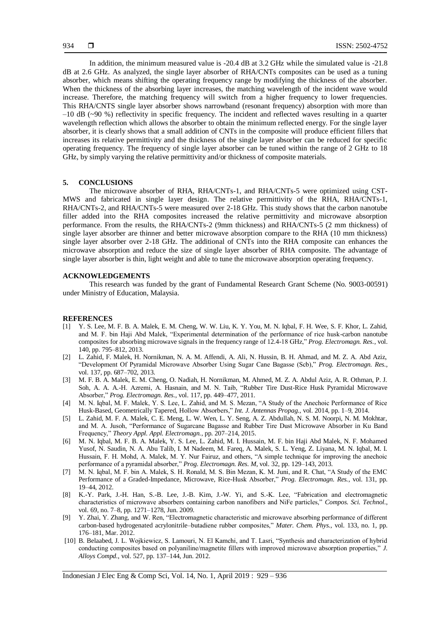In addition, the minimum measured value is -20.4 dB at 3.2 GHz while the simulated value is -21.8 dB at 2.6 GHz. As analyzed, the single layer absorber of RHA/CNTs composites can be used as a tuning absorber, which means shifting the operating frequency range by modifying the thickness of the absorber. When the thickness of the absorbing layer increases, the matching wavelength of the incident wave would increase. Therefore, the matching frequency will switch from a higher frequency to lower frequencies. This RHA/CNTS single layer absorber shows narrowband (resonant frequency) absorption with more than –10 dB (~90 %) reflectivity in specific frequency. The incident and reflected waves resulting in a quarter wavelength reflection which allows the absorber to obtain the minimum reflected energy. For the single layer absorber, it is clearly shows that a small addition of CNTs in the composite will produce efficient fillers that increases its relative permittivity and the thickness of the single layer absorber can be reduced for specific operating frequency. The frequency of single layer absorber can be tuned within the range of 2 GHz to 18 GHz, by simply varying the relative permittivity and/or thickness of composite materials.

### **5. CONCLUSIONS**

The microwave absorber of RHA, RHA/CNTs-1, and RHA/CNTs-5 were optimized using CST-MWS and fabricated in single layer design. The relative permittivity of the RHA, RHA/CNTs-1, RHA/CNTs-2, and RHA/CNTs-5 were measured over 2-18 GHz. This study shows that the carbon nanotube filler added into the RHA composites increased the relative permittivity and microwave absorption performance. From the results, the RHA/CNTs-2 (9mm thickness) and RHA/CNTs-5 (2 mm thickness) of single layer absorber are thinner and better microwave absorption compare to the RHA (10 mm thickness) single layer absorber over 2-18 GHz. The additional of CNTs into the RHA composite can enhances the microwave absorption and reduce the size of single layer absorber of RHA composite. The advantage of single layer absorber is thin, light weight and able to tune the microwave absorption operating frequency.

# **ACKNOWLEDGEMENTS**

This research was funded by the grant of Fundamental Research Grant Scheme (No. 9003-00591) under Ministry of Education, Malaysia.

#### **REFERENCES**

- [1] Y. S. Lee, M. F. B. A. Malek, E. M. Cheng, W. W. Liu, K. Y. You, M. N. Iqbal, F. H. Wee, S. F. Khor, L. Zahid, and M. F. bin Haji Abd Malek, "Experimental determination of the performance of rice husk-carbon nanotube composites for absorbing microwave signals in the frequency range of 12.4-18 GHz," *Prog. Electromagn. Res.*, vol. 140, pp. 795–812, 2013.
- [2] L. Zahid, F. Malek, H. Nornikman, N. A. M. Affendi, A. Ali, N. Hussin, B. H. Ahmad, and M. Z. A. Abd Aziz, "Development Of Pyramidal Microwave Absorber Using Sugar Cane Bagasse (Scb)," *Prog. Electromagn. Res.*, vol. 137, pp. 687–702, 2013.
- [3] M. F. B. A. Malek, E. M. Cheng, O. Nadiah, H. Nornikman, M. Ahmed, M. Z. A. Abdul Aziz, A. R. Othman, P. J. Soh, A. A. A.-H. Azremi, A. Hasnain, and M. N. Taib, "Rubber Tire Dust-Rice Husk Pyramidal Microwave Absorber," *Prog. Electromagn. Res.*, vol. 117, pp. 449–477, 2011.
- [4] M. N. Iqbal, M. F. Malek, Y. S. Lee, L. Zahid, and M. S. Mezan, "A Study of the Anechoic Performance of Rice Husk-Based, Geometrically Tapered, Hollow Absorbers," *Int. J. Antennas Propag.*, vol. 2014, pp. 1–9, 2014.
- [5] L. Zahid, M. F. A. Malek, C. E. Meng, L. W. Wen, L. Y. Seng, A. Z. Abdullah, N. S. M. Noorpi, N. M. Mokhtar, and M. A. Jusoh, "Performance of Sugarcane Bagasse and Rubber Tire Dust Microwave Absorber in Ku Band Frequency," *Theory Appl. Appl. Electromagn.*, pp. 207–214, 2015.
- [6] M. N. Iqbal, M. F. B. A. Malek, Y. S. Lee, L. Zahid, M. I. Hussain, M. F. bin Haji Abd Malek, N. F. Mohamed Yusof, N. Saudin, N. A. Abu Talib, I. M Nadeem, M. Fareq, A. Malek, S. L. Yeng, Z. Liyana, M. N. Iqbal, M. I. Hussain, F. H. Mohd, A. Malek, M. Y. Nur Fairuz, and others, "A simple technique for improving the anechoic performance of a pyramidal absorber," *Prog. Electromagn. Res. M*, vol. 32, pp. 129–143, 2013.
- [7] M. N. Iqbal, M. F. bin A. Malek, S. H. Ronald, M. S. Bin Mezan, K. M. Juni, and R. Chat, "A Study of the EMC Performance of a Graded-Impedance, Microwave, Rice-Husk Absorber," *Prog. Electromagn. Res.*, vol. 131, pp. 19–44, 2012.
- [8] K.-Y. Park, J.-H. Han, S.-B. Lee, J.-B. Kim, J.-W. Yi, and S.-K. Lee, "Fabrication and electromagnetic characteristics of microwave absorbers containing carbon nanofibers and NiFe particles," *Compos. Sci. Technol.*, vol. 69, no. 7–8, pp. 1271–1278, Jun. 2009.
- [9] Y. Zhai, Y. Zhang, and W. Ren, "Electromagnetic characteristic and microwave absorbing performance of different carbon-based hydrogenated acrylonitrile–butadiene rubber composites," *Mater. Chem. Phys.*, vol. 133, no. 1, pp. 176–181, Mar. 2012.
- [10] B. Belaabed, J. L. Wojkiewicz, S. Lamouri, N. El Kamchi, and T. Lasri, "Synthesis and characterization of hybrid conducting composites based on polyaniline/magnetite fillers with improved microwave absorption properties," *J. Alloys Compd.*, vol. 527, pp. 137–144, Jun. 2012.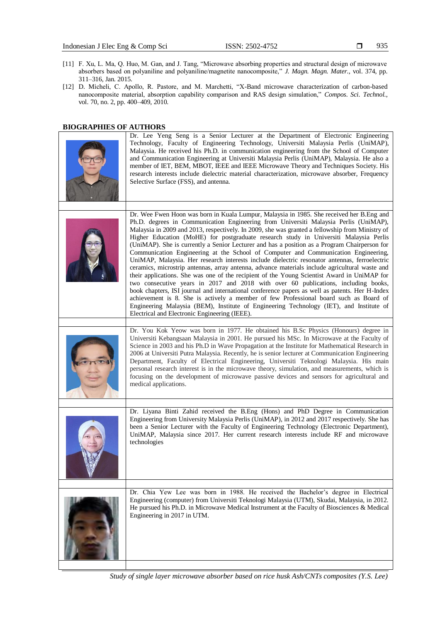935

- [11] F. Xu, L. Ma, Q. Huo, M. Gan, and J. Tang, "Microwave absorbing properties and structural design of microwave absorbers based on polyaniline and polyaniline/magnetite nanocomposite," *J. Magn. Magn. Mater.*, vol. 374, pp. 311–316, Jan. 2015.
- [12] D. Micheli, C. Apollo, R. Pastore, and M. Marchetti, "X-Band microwave characterization of carbon-based nanocomposite material, absorption capability comparison and RAS design simulation," *Compos. Sci. Technol.*, vol. 70, no. 2, pp. 400–409, 2010.

# **BIOGRAPHIES OF AUTHORS**

| Dr. Lee Yeng Seng is a Senior Lecturer at the Department of Electronic Engineering<br>Technology, Faculty of Engineering Technology, Universiti Malaysia Perlis (UniMAP),<br>Malaysia. He received his Ph.D. in communication engineering from the School of Computer<br>and Communication Engineering at Universiti Malaysia Perlis (UniMAP), Malaysia. He also a<br>member of IET, BEM, MBOT, IEEE and IEEE Microwave Theory and Techniques Society. His<br>research interests include dielectric material characterization, microwave absorber, Frequency<br>Selective Surface (FSS), and antenna.                                                                                                                                                                                                                                                                                                                                                                                                                                                                                                         |
|---------------------------------------------------------------------------------------------------------------------------------------------------------------------------------------------------------------------------------------------------------------------------------------------------------------------------------------------------------------------------------------------------------------------------------------------------------------------------------------------------------------------------------------------------------------------------------------------------------------------------------------------------------------------------------------------------------------------------------------------------------------------------------------------------------------------------------------------------------------------------------------------------------------------------------------------------------------------------------------------------------------------------------------------------------------------------------------------------------------|
| Dr. Wee Fwen Hoon was born in Kuala Lumpur, Malaysia in 1985. She received her B.Eng and<br>Ph.D. degrees in Communication Engineering from Universiti Malaysia Perlis (UniMAP),                                                                                                                                                                                                                                                                                                                                                                                                                                                                                                                                                                                                                                                                                                                                                                                                                                                                                                                              |
| Malaysia in 2009 and 2013, respectively. In 2009, she was granted a fellowship from Ministry of<br>Higher Education (MoHE) for postgraduate research study in Universiti Malaysia Perlis<br>(UniMAP). She is currently a Senior Lecturer and has a position as a Program Chairperson for<br>Communication Engineering at the School of Computer and Communication Engineering,<br>UniMAP, Malaysia. Her research interests include dielectric resonator antennas, ferroelectric<br>ceramics, microstrip antennas, array antenna, advance materials include agricultural waste and<br>their applications. She was one of the recipient of the Young Scientist Award in UniMAP for<br>two consecutive years in 2017 and 2018 with over 60 publications, including books,<br>book chapters, ISI journal and international conference papers as well as patents. Her H-Index<br>achievement is 8. She is actively a member of few Professional board such as Board of<br>Engineering Malaysia (BEM), Institute of Engineering Technology (IET), and Institute of<br>Electrical and Electronic Engineering (IEEE). |
| Dr. You Kok Yeow was born in 1977. He obtained his B.Sc Physics (Honours) degree in                                                                                                                                                                                                                                                                                                                                                                                                                                                                                                                                                                                                                                                                                                                                                                                                                                                                                                                                                                                                                           |
| Universiti Kebangsaan Malaysia in 2001. He pursued his MSc. In Microwave at the Faculty of<br>Science in 2003 and his Ph.D in Wave Propagation at the Institute for Mathematical Research in<br>2006 at Universiti Putra Malaysia. Recently, he is senior lecturer at Communication Engineering<br>Department, Faculty of Electrical Engineering, Universiti Teknologi Malaysia. His main<br>personal research interest is in the microwave theory, simulation, and measurements, which is<br>focusing on the development of microwave passive devices and sensors for agricultural and<br>medical applications.                                                                                                                                                                                                                                                                                                                                                                                                                                                                                              |
| Dr. Liyana Binti Zahid received the B.Eng (Hons) and PhD Degree in Communication                                                                                                                                                                                                                                                                                                                                                                                                                                                                                                                                                                                                                                                                                                                                                                                                                                                                                                                                                                                                                              |
| Engineering from University Malaysia Perlis (UniMAP), in 2012 and 2017 respectively. She has<br>been a Senior Lecturer with the Faculty of Engineering Technology (Electronic Department),<br>UniMAP, Malaysia since 2017. Her current research interests include RF and microwave<br>technologies                                                                                                                                                                                                                                                                                                                                                                                                                                                                                                                                                                                                                                                                                                                                                                                                            |
| Dr. Chia Yew Lee was born in 1988. He received the Bachelor's degree in Electrical                                                                                                                                                                                                                                                                                                                                                                                                                                                                                                                                                                                                                                                                                                                                                                                                                                                                                                                                                                                                                            |
| Engineering (computer) from Universiti Teknologi Malaysia (UTM), Skudai, Malaysia, in 2012.<br>He pursued his Ph.D. in Microwave Medical Instrument at the Faculty of Biosciences & Medical<br>Engineering in 2017 in UTM.                                                                                                                                                                                                                                                                                                                                                                                                                                                                                                                                                                                                                                                                                                                                                                                                                                                                                    |
|                                                                                                                                                                                                                                                                                                                                                                                                                                                                                                                                                                                                                                                                                                                                                                                                                                                                                                                                                                                                                                                                                                               |

*Study of single layer microwave absorber based on rice husk Ash/CNTs composites (Y.S. Lee)*